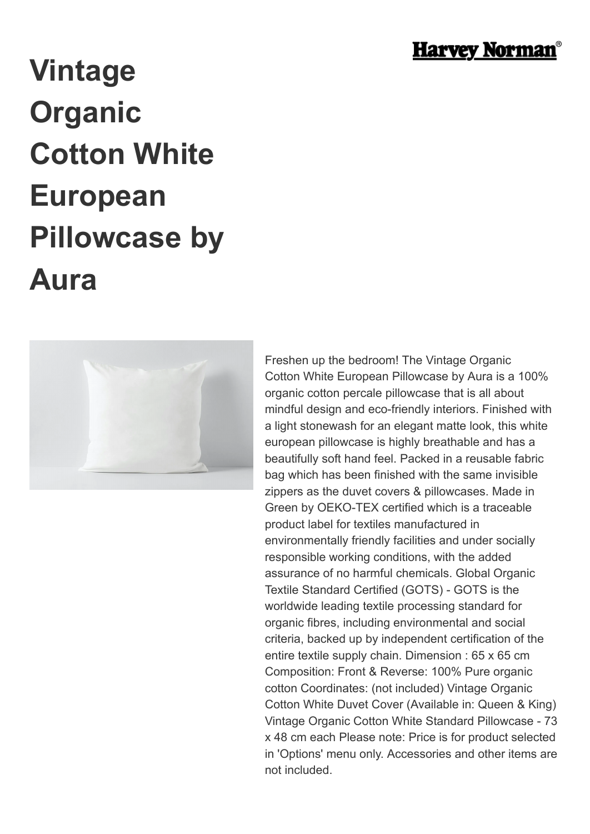

## **Vintage Organic Cotton White European Pillowcase by Aura**



Freshen up the bedroom! The Vintage Organic Cotton White European Pillowcase by Aura is a 100% organic cotton percale pillowcase that is all about mindful design and eco-friendly interiors. Finished with a light stonewash for an elegant matte look, this white european pillowcase is highly breathable and has a beautifully soft hand feel. Packed in a reusable fabric bag which has been finished with the same invisible zippers as the duvet covers & pillowcases. Made in Green by OEKO-TEX certified which is a traceable product label for textiles manufactured in environmentally friendly facilities and under socially responsible working conditions, with the added assurance of no harmful chemicals. Global Organic Textile Standard Certified (GOTS) - GOTS is the worldwide leading textile processing standard for organic fibres, including environmental and social criteria, backed up by independent certification of the entire textile supply chain. Dimension : 65 x 65 cm Composition: Front & Reverse: 100% Pure organic cotton Coordinates: (not included) Vintage Organic Cotton White Duvet Cover (Available in: Queen & King) Vintage Organic Cotton White Standard Pillowcase - 73 x 48 cm each Please note: Price is for product selected in 'Options' menu only. Accessories and other items are not included.